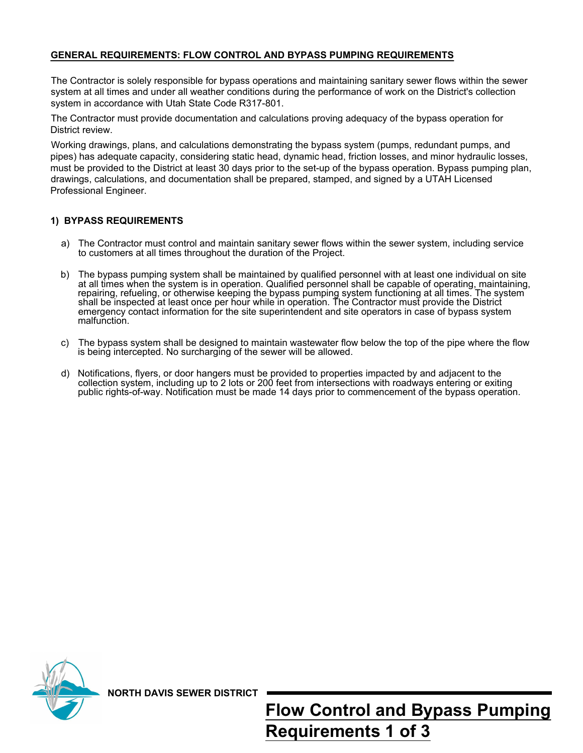### **GENERAL REQUIREMENTS: FLOW CONTROL AND BYPASS PUMPING REQUIREMENTS**

The Contractor is solely responsible for bypass operations and maintaining sanitary sewer flows within the sewer system at all times and under all weather conditions during the performance of work on the District's collection system in accordance with Utah State Code R317-801.

The Contractor must provide documentation and calculations proving adequacy of the bypass operation for District review.

Working drawings, plans, and calculations demonstrating the bypass system (pumps, redundant pumps, and pipes) has adequate capacity, considering static head, dynamic head, friction losses, and minor hydraulic losses, must be provided to the District at least 30 days prior to the set-up of the bypass operation. Bypass pumping plan, drawings, calculations, and documentation shall be prepared, stamped, and signed by a UTAH Licensed Professional Engineer.

#### **1) BYPASS REQUIREMENTS**

- a) The Contractor must control and maintain sanitary sewer flows within the sewer system, including service to customers at all times throughout the duration of the Project.
- b) The bypass pumping system shall be maintained by qualified personnel with at least one individual on site at all times when the system is in operation. Qualified personnel shall be capable of operating, maintaining, repairing, refueling, or otherwise keeping the bypass pumping system functioning at all times. The system shall be inspected at least once per hour while in operation. The Contractor must provide the District emergency contact information for the site superintendent and site operators in case of bypass system malfunction.
- c) The bypass system shall be designed to maintain wastewater flow below the top of the pipe where the flow is being intercepted. No surcharging of the sewer will be allowed.
- d) Notifications, flyers, or door hangers must be provided to properties impacted by and adjacent to the collection system, including up to 2 lots or 200 feet from intersections with roadways entering or exiting public rights-of-way. Notification must be made 14 days prior to commencement of the bypass operation.



**NORTH DAVIS SEWER DISTRICT**

## **Flow Control and Bypass Pumping Requirements 1 of 3**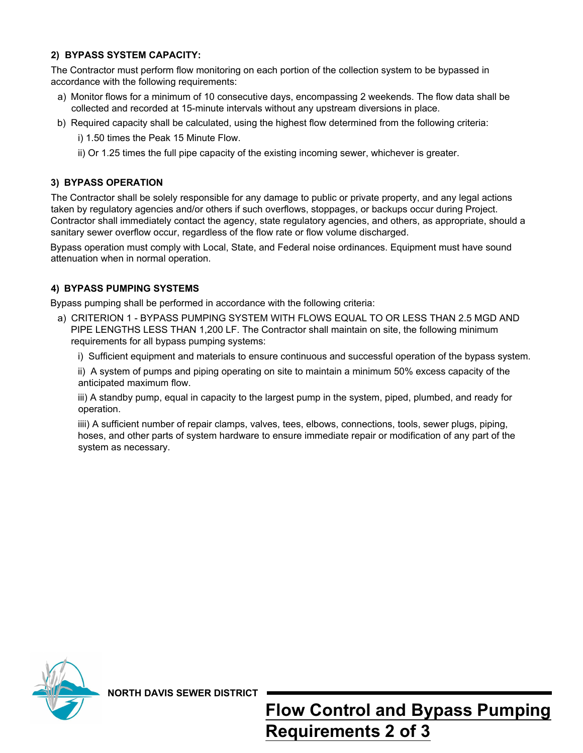### **2) BYPASS SYSTEM CAPACITY:**

The Contractor must perform flow monitoring on each portion of the collection system to be bypassed in accordance with the following requirements:

- a) Monitor flows for a minimum of 10 consecutive days, encompassing 2 weekends. The flow data shall be collected and recorded at 15-minute intervals without any upstream diversions in place.
- b) Required capacity shall be calculated, using the highest flow determined from the following criteria:
	- i) 1.50 times the Peak 15 Minute Flow.
	- ii) Or 1.25 times the full pipe capacity of the existing incoming sewer, whichever is greater.

#### **3) BYPASS OPERATION**

The Contractor shall be solely responsible for any damage to public or private property, and any legal actions taken by regulatory agencies and/or others if such overflows, stoppages, or backups occur during Project. Contractor shall immediately contact the agency, state regulatory agencies, and others, as appropriate, should a sanitary sewer overflow occur, regardless of the flow rate or flow volume discharged.

Bypass operation must comply with Local, State, and Federal noise ordinances. Equipment must have sound attenuation when in normal operation.

#### **4) BYPASS PUMPING SYSTEMS**

Bypass pumping shall be performed in accordance with the following criteria:

a) CRITERION 1 - BYPASS PUMPING SYSTEM WITH FLOWS EQUAL TO OR LESS THAN 2.5 MGD AND PIPE LENGTHS LESS THAN 1,200 LF. The Contractor shall maintain on site, the following minimum requirements for all bypass pumping systems:

i) Sufficient equipment and materials to ensure continuous and successful operation of the bypass system.

ii) A system of pumps and piping operating on site to maintain a minimum 50% excess capacity of the anticipated maximum flow.

iii) A standby pump, equal in capacity to the largest pump in the system, piped, plumbed, and ready for operation.

iiii) A sufficient number of repair clamps, valves, tees, elbows, connections, tools, sewer plugs, piping, hoses, and other parts of system hardware to ensure immediate repair or modification of any part of the system as necessary.



**NORTH DAVIS SEWER DISTRICT**

## **Flow Control and Bypass Pumping Requirements 2 of 3**